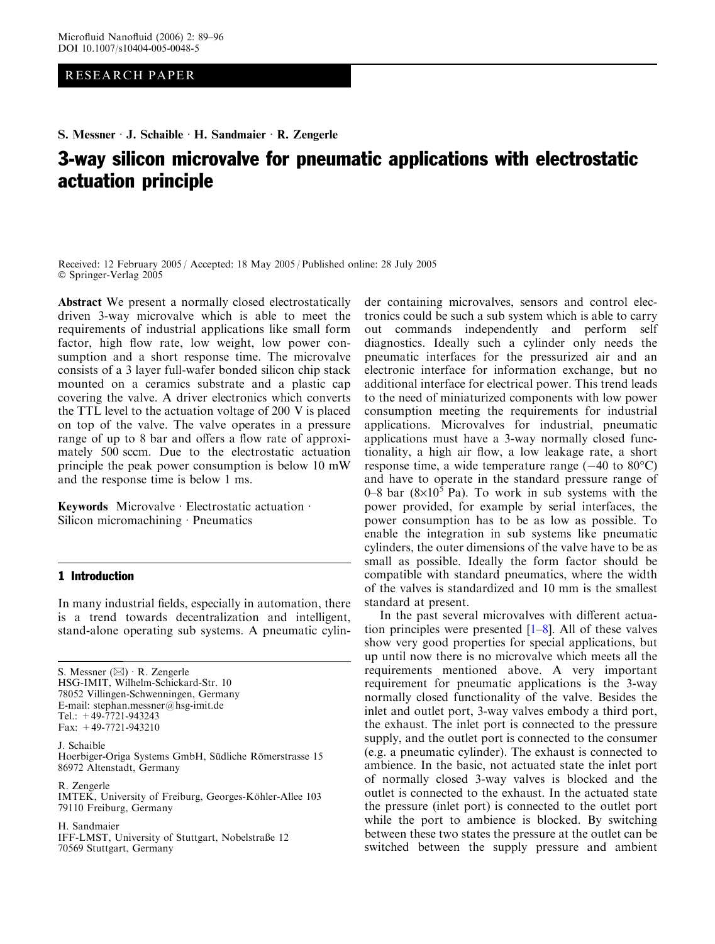# RESEARCH PAPER

S. Messner · J. Schaible · H. Sandmaier · R. Zengerle

# 3-way silicon microvalve for pneumatic applications with electrostatic actuation principle

Received: 12 February 2005 / Accepted: 18 May 2005 / Published online: 28 July 2005 Springer-Verlag 2005

Abstract We present a normally closed electrostatically driven 3-way microvalve which is able to meet the requirements of industrial applications like small form factor, high flow rate, low weight, low power consumption and a short response time. The microvalve consists of a 3 layer full-wafer bonded silicon chip stack mounted on a ceramics substrate and a plastic cap covering the valve. A driver electronics which converts the TTL level to the actuation voltage of 200 V is placed on top of the valve. The valve operates in a pressure range of up to 8 bar and offers a flow rate of approximately 500 sccm. Due to the electrostatic actuation principle the peak power consumption is below 10 mW and the response time is below 1 ms.

Keywords Microvalve · Electrostatic actuation · Silicon micromachining  $\cdot$  Pneumatics

# 1 Introduction

In many industrial fields, especially in automation, there is a trend towards decentralization and intelligent, stand-alone operating sub systems. A pneumatic cylin-

S. Messner  $(\boxtimes) \cdot$  R. Zengerle HSG-IMIT, Wilhelm-Schickard-Str. 10 78052 Villingen-Schwenningen, Germany E-mail: stephan.messner@hsg-imit.de Tel.: +49-7721-943243 Fax: +49-7721-943210

J. Schaible Hoerbiger-Origa Systems GmbH, Südliche Römerstrasse 15 86972 Altenstadt, Germany

R. Zengerle IMTEK, University of Freiburg, Georges-Köhler-Allee 103 79110 Freiburg, Germany

H. Sandmaier IFF-LMST, University of Stuttgart, Nobelstraße 12 70569 Stuttgart, Germany

der containing microvalves, sensors and control electronics could be such a sub system which is able to carry out commands independently and perform self diagnostics. Ideally such a cylinder only needs the pneumatic interfaces for the pressurized air and an electronic interface for information exchange, but no additional interface for electrical power. This trend leads to the need of miniaturized components with low power consumption meeting the requirements for industrial applications. Microvalves for industrial, pneumatic applications must have a 3-way normally closed functionality, a high air flow, a low leakage rate, a short response time, a wide temperature range  $(-40 \text{ to } 80^{\circ}\text{C})$ and have to operate in the standard pressure range of 0–8 bar ( $8\times10^5$  Pa). To work in sub systems with the power provided, for example by serial interfaces, the power consumption has to be as low as possible. To enable the integration in sub systems like pneumatic cylinders, the outer dimensions of the valve have to be as small as possible. Ideally the form factor should be compatible with standard pneumatics, where the width of the valves is standardized and 10 mm is the smallest standard at present.

In the past several microvalves with different actuation principles were presented  $[1-8]$ . All of these valves show very good properties for special applications, but up until now there is no microvalve which meets all the requirements mentioned above. A very important requirement for pneumatic applications is the 3-way normally closed functionality of the valve. Besides the inlet and outlet port, 3-way valves embody a third port, the exhaust. The inlet port is connected to the pressure supply, and the outlet port is connected to the consumer (e.g. a pneumatic cylinder). The exhaust is connected to ambience. In the basic, not actuated state the inlet port of normally closed 3-way valves is blocked and the outlet is connected to the exhaust. In the actuated state the pressure (inlet port) is connected to the outlet port while the port to ambience is blocked. By switching between these two states the pressure at the outlet can be switched between the supply pressure and ambient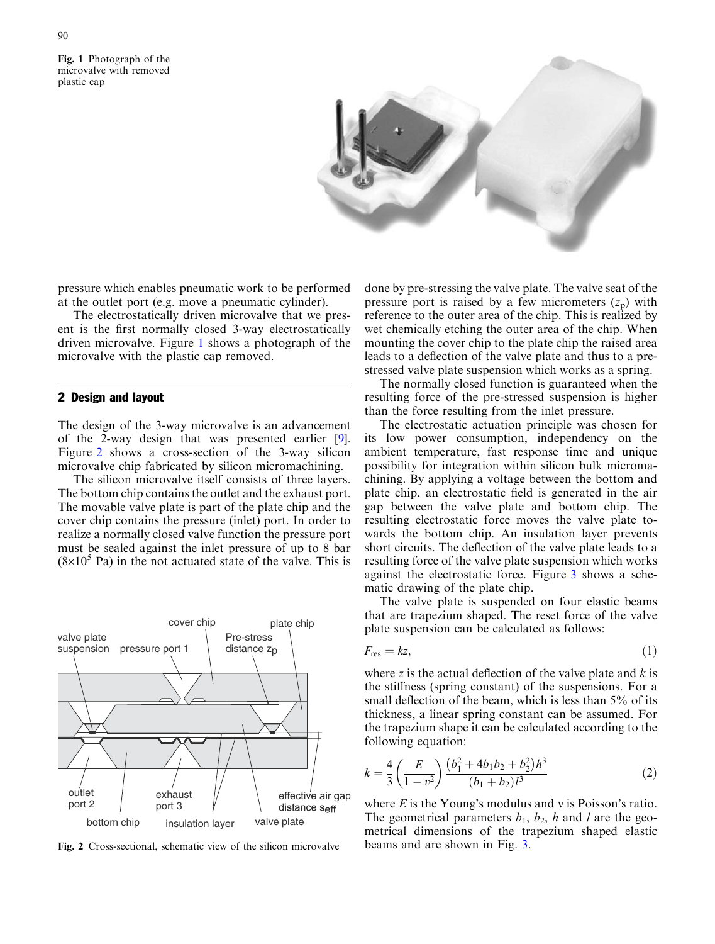<span id="page-1-0"></span>Fig. 1 Photograph of the microvalve with removed plastic cap



pressure which enables pneumatic work to be performed at the outlet port (e.g. move a pneumatic cylinder).

The electrostatically driven microvalve that we present is the first normally closed 3-way electrostatically driven microvalve. Figure 1 shows a photograph of the microvalve with the plastic cap removed.

# 2 Design and layout

The design of the 3-way microvalve is an advancement of the 2-way design that was presented earlier [\[9](#page-7-0)]. Figure 2 shows a cross-section of the 3-way silicon microvalve chip fabricated by silicon micromachining.

The silicon microvalve itself consists of three layers. The bottom chip contains the outlet and the exhaust port. The movable valve plate is part of the plate chip and the cover chip contains the pressure (inlet) port. In order to realize a normally closed valve function the pressure port must be sealed against the inlet pressure of up to 8 bar  $(8\times10^5 \text{ Pa})$  in the not actuated state of the valve. This is



Fig. 2 Cross-sectional, schematic view of the silicon microvalve

done by pre-stressing the valve plate. The valve seat of the pressure port is raised by a few micrometers  $(z_p)$  with reference to the outer area of the chip. This is realized by wet chemically etching the outer area of the chip. When mounting the cover chip to the plate chip the raised area leads to a deflection of the valve plate and thus to a prestressed valve plate suspension which works as a spring.

The normally closed function is guaranteed when the resulting force of the pre-stressed suspension is higher than the force resulting from the inlet pressure.

The electrostatic actuation principle was chosen for its low power consumption, independency on the ambient temperature, fast response time and unique possibility for integration within silicon bulk micromachining. By applying a voltage between the bottom and plate chip, an electrostatic field is generated in the air gap between the valve plate and bottom chip. The resulting electrostatic force moves the valve plate towards the bottom chip. An insulation layer prevents short circuits. The deflection of the valve plate leads to a resulting force of the valve plate suspension which works against the electrostatic force. Figure 3 [shows a sche](#page-2-0)[matic drawing of the plate chip.](#page-2-0)

The valve plate is suspended on four elastic beams that are trapezium shaped. The reset force of the valve plate suspension can be calculated as follows:

$$
F_{\rm res} = kz,\tag{1}
$$

where z is the actual deflection of the valve plate and  $k$  is the stiffness (spring constant) of the suspensions. For a small deflection of the beam, which is less than 5% of its thickness, a linear spring constant can be assumed. For the trapezium shape it can be calculated according to the following equation:

$$
k = \frac{4}{3} \left( \frac{E}{1 - v^2} \right) \frac{\left( b_1^2 + 4b_1b_2 + b_2^2 \right) h^3}{\left( b_1 + b_2 \right) l^3} \tag{2}
$$

where  $E$  is the Young's modulus and v is Poisson's ratio. The geometrical parameters  $b_1$ ,  $b_2$ , h and l are the geometrical dimensions of the trapezium shaped elastic beams and are shown in Fig. [3.](#page-2-0)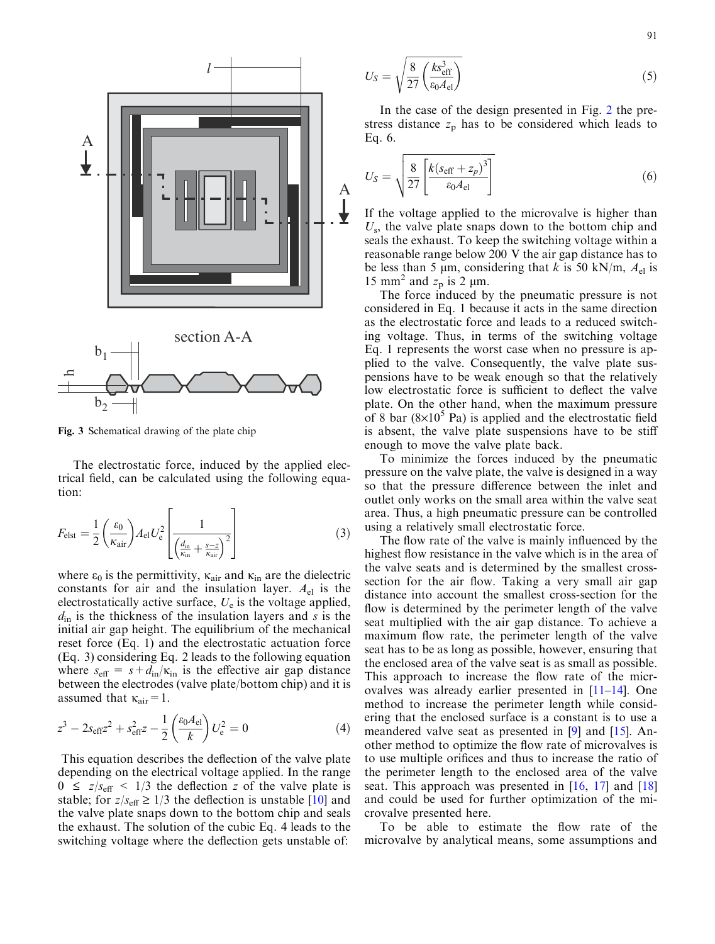<span id="page-2-0"></span>

Fig. 3 Schematical drawing of the plate chip

The electrostatic force, induced by the applied electrical field, can be calculated using the following equation:

$$
F_{\text{elst}} = \frac{1}{2} \left( \frac{\varepsilon_0}{\kappa_{\text{air}}} \right) A_{\text{el}} U_{\text{e}}^2 \left[ \frac{1}{\left( \frac{d_{\text{in}}}{\kappa_{\text{in}}} + \frac{s - z}{\kappa_{\text{air}}} \right)^2} \right]
$$
(3)

where  $\varepsilon_0$  is the permittivity,  $\kappa_{\text{air}}$  and  $\kappa_{\text{in}}$  are the dielectric constants for air and the insulation layer.  $A_{el}$  is the electrostatically active surface,  $U_e$  is the voltage applied,  $d_{\rm in}$  is the thickness of the insulation layers and s is the initial air gap height. The equilibrium of the mechanical reset force (Eq. 1) and the electrostatic actuation force (Eq. 3) considering Eq. 2 leads to the following equation where  $s_{\text{eff}} = s + d_{\text{in}}/\kappa_{\text{in}}$  is the effective air gap distance between the electrodes (valve plate/bottom chip) and it is assumed that  $\kappa_{\text{air}}=1$ .

$$
z^{3} - 2s_{\text{eff}}z^{2} + s_{\text{eff}}^{2}z - \frac{1}{2} \left(\frac{\varepsilon_{0} A_{\text{el}}}{k}\right) U_{\text{e}}^{2} = 0
$$
 (4)

This equation describes the deflection of the valve plate depending on the electrical voltage applied. In the range  $0 \le z/\mathfrak{s}_{\text{eff}} < 1/3$  the deflection z of the valve plate is stable; for  $z/s_{\text{eff}} \ge 1/3$  the deflection is unstable [\[10\]](#page-7-0) and the valve plate snaps down to the bottom chip and seals the exhaust. The solution of the cubic Eq. 4 leads to the switching voltage where the deflection gets unstable of:

$$
U_S = \sqrt{\frac{8}{27} \left(\frac{k s_{\text{eff}}^3}{\epsilon_0 A_{\text{el}}}\right)}\tag{5}
$$

In the case of the design presented in Fig. 2 [the pre](#page-1-0)[stress distance](#page-1-0)  $z_p$  [has to be considered which leads to](#page-1-0) [Eq. 6.](#page-1-0)

$$
U_S = \sqrt{\frac{8}{27} \left[ \frac{k(s_{\text{eff}} + z_p)^3}{\epsilon_0 A_{\text{el}}} \right]}
$$
(6)

If the voltage applied to the microvalve is higher than  $U_s$ , the valve plate snaps down to the bottom chip and seals the exhaust. To keep the switching voltage within a reasonable range below 200 V the air gap distance has to be less than 5  $\mu$ m, considering that k is 50 kN/m,  $A_{el}$  is 15 mm<sup>2</sup> and  $z_p$  is 2 µm.

The force induced by the pneumatic pressure is not considered in Eq. 1 because it acts in the same direction as the electrostatic force and leads to a reduced switching voltage. Thus, in terms of the switching voltage Eq. 1 represents the worst case when no pressure is applied to the valve. Consequently, the valve plate suspensions have to be weak enough so that the relatively low electrostatic force is sufficient to deflect the valve plate. On the other hand, when the maximum pressure of 8 bar  $(8\times10^5 \text{ Pa})$  is applied and the electrostatic field is absent, the valve plate suspensions have to be stiff enough to move the valve plate back.

To minimize the forces induced by the pneumatic pressure on the valve plate, the valve is designed in a way so that the pressure difference between the inlet and outlet only works on the small area within the valve seat area. Thus, a high pneumatic pressure can be controlled using a relatively small electrostatic force.

The flow rate of the valve is mainly influenced by the highest flow resistance in the valve which is in the area of the valve seats and is determined by the smallest crosssection for the air flow. Taking a very small air gap distance into account the smallest cross-section for the flow is determined by the perimeter length of the valve seat multiplied with the air gap distance. To achieve a maximum flow rate, the perimeter length of the valve seat has to be as long as possible, however, ensuring that the enclosed area of the valve seat is as small as possible. This approach to increase the flow rate of the microvalves was already earlier presented in [\[11](#page-7-0)–[14\]](#page-7-0). One method to increase the perimeter length while considering that the enclosed surface is a constant is to use a meandered valve seat as presented in [[9\]](#page-7-0) and [[15\]](#page-7-0). Another method to optimize the flow rate of microvalves is to use multiple orifices and thus to increase the ratio of the perimeter length to the enclosed area of the valve seat. This approach was presented in [[16,](#page-7-0) [17\]](#page-7-0) and [\[18](#page-7-0)] and could be used for further optimization of the microvalve presented here.

To be able to estimate the flow rate of the microvalve by analytical means, some assumptions and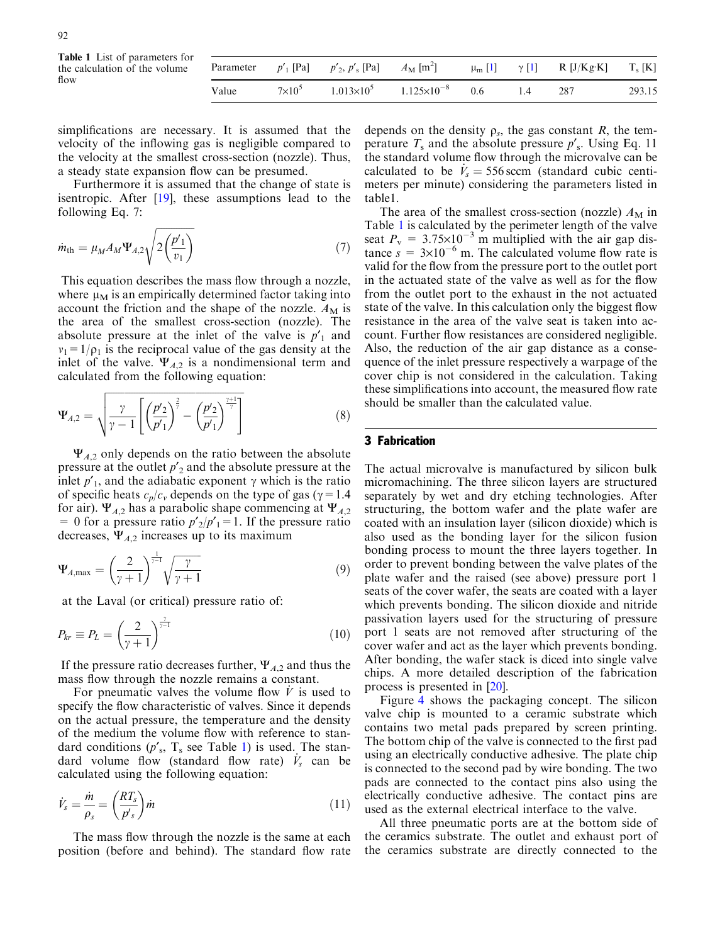Table 1 List of parameters for the calculation of the volume flow

|       | Parameter $p'_1$ [Pa] $p'_2$ , $p'_s$ [Pa] $A_M$ [m <sup>2</sup> ] $\mu_m$ [1] $\gamma$ [1] R [J/Kg·K] T <sub>s</sub> [K] |  |    |     |        |
|-------|---------------------------------------------------------------------------------------------------------------------------|--|----|-----|--------|
| Value | $7 \times 10^5$ $1.013 \times 10^5$ $1.125 \times 10^{-8}$ 0.6                                                            |  | 14 | 287 | 293.15 |

simplifications are necessary. It is assumed that the velocity of the inflowing gas is negligible compared to the velocity at the smallest cross-section (nozzle). Thus, a steady state expansion flow can be presumed.

Furthermore it is assumed that the change of state is isentropic. After [[19](#page-7-0)], these assumptions lead to the following Eq. 7:

$$
\dot{m}_{\rm th} = \mu_M A_M \Psi_{A,2} \sqrt{2 \left( \frac{p'_1}{v_1} \right)} \tag{7}
$$

This equation describes the mass flow through a nozzle, where  $\mu_M$  is an empirically determined factor taking into account the friction and the shape of the nozzle.  $A_M$  is the area of the smallest cross-section (nozzle). The absolute pressure at the inlet of the valve is  $p_1$  and  $v_1=1/\rho_1$  is the reciprocal value of the gas density at the inlet of the valve.  $\Psi_{A,2}$  is a nondimensional term and calculated from the following equation:

$$
\Psi_{A,2} = \sqrt{\frac{\gamma}{\gamma - 1} \left[ \left( \frac{p'_{2}}{p'_{1}} \right)^{\frac{2}{\gamma}} - \left( \frac{p'_{2}}{p'_{1}} \right)^{\frac{\gamma + 1}{\gamma}} \right]}
$$
(8)

 $\Psi_{A,2}$  only depends on the ratio between the absolute pressure at the outlet  $p'_{2}$  and the absolute pressure at the inlet  $p'$ <sub>1</sub>, and the adiabatic exponent  $\gamma$  which is the ratio of specific heats  $c_p/c_v$  depends on the type of gas ( $\gamma=1.4$ ) for air).  $\Psi_{A,2}$  has a parabolic shape commencing at  $\Psi_{A,2}$ = 0 for a pressure ratio  $p'_{2}/p'_{1} = 1$ . If the pressure ratio decreases,  $\Psi_{A,2}$  increases up to its maximum

$$
\Psi_{A,\max} = \left(\frac{2}{\gamma+1}\right)^{\frac{1}{\gamma-1}} \sqrt{\frac{\gamma}{\gamma+1}}
$$
\n(9)

at the Laval (or critical) pressure ratio of:

$$
P_{kr} \equiv P_L = \left(\frac{2}{\gamma + 1}\right)^{\frac{\gamma}{\gamma - 1}}\tag{10}
$$

If the pressure ratio decreases further,  $\Psi_{A,2}$  and thus the mass flow through the nozzle remains a constant.

For pneumatic valves the volume flow  $V$  is used to specify the flow characteristic of valves. Since it depends on the actual pressure, the temperature and the density of the medium the volume flow with reference to standard conditions  $(p'_s, T_s$  see Table 1) is used. The standard volume flow (standard flow rate)  $\dot{V}_s$  can be calculated using the following equation:

$$
\dot{V}_s = \frac{\dot{m}}{\rho_s} = \left(\frac{RT_s}{p's}\right)\dot{m} \tag{11}
$$

The mass flow through the nozzle is the same at each position (before and behind). The standard flow rate depends on the density  $\rho_s$ , the gas constant R, the temperature  $T_s$  and the absolute pressure  $p'_s$ . Using Eq. 11 the standard volume flow through the microvalve can be calculated to be  $\dot{V}_s = 556$  sccm (standard cubic centimeters per minute) considering the parameters listed in table1.

The area of the smallest cross-section (nozzle)  $A_M$  in Table 1 is calculated by the perimeter length of the valve seat  $P_v = 3.75 \times 10^{-3}$  m multiplied with the air gap distance  $s = 3 \times 10^{-6}$  m. The calculated volume flow rate is valid for the flow from the pressure port to the outlet port in the actuated state of the valve as well as for the flow from the outlet port to the exhaust in the not actuated state of the valve. In this calculation only the biggest flow resistance in the area of the valve seat is taken into account. Further flow resistances are considered negligible. Also, the reduction of the air gap distance as a consequence of the inlet pressure respectively a warpage of the cover chip is not considered in the calculation. Taking these simplifications into account, the measured flow rate should be smaller than the calculated value.

### 3 Fabrication

The actual microvalve is manufactured by silicon bulk micromachining. The three silicon layers are structured separately by wet and dry etching technologies. After structuring, the bottom wafer and the plate wafer are coated with an insulation layer (silicon dioxide) which is also used as the bonding layer for the silicon fusion bonding process to mount the three layers together. In order to prevent bonding between the valve plates of the plate wafer and the raised (see above) pressure port 1 seats of the cover wafer, the seats are coated with a layer which prevents bonding. The silicon dioxide and nitride passivation layers used for the structuring of pressure port 1 seats are not removed after structuring of the cover wafer and act as the layer which prevents bonding. After bonding, the wafer stack is diced into single valve chips. A more detailed description of the fabrication process is presented in [[20\]](#page-7-0).

Figure 4 [shows the packaging concept. The silicon](#page-4-0) [valve chip is mounted to a ceramic substrate which](#page-4-0) [contains two metal pads prepared by screen printing.](#page-4-0) [The bottom chip of the valve is connected to the first pad](#page-4-0) [using an electrically conductive adhesive. The plate chip](#page-4-0) [is connected to the second pad by wire bonding. The two](#page-4-0) [pads are connected to the contact pins also using the](#page-4-0) [electrically conductive adhesive. The contact pins are](#page-4-0) [used as the external electrical interface to the valve.](#page-4-0)

All three pneumatic ports are at the bottom side of the ceramics substrate. The outlet and exhaust port of the ceramics substrate are directly connected to the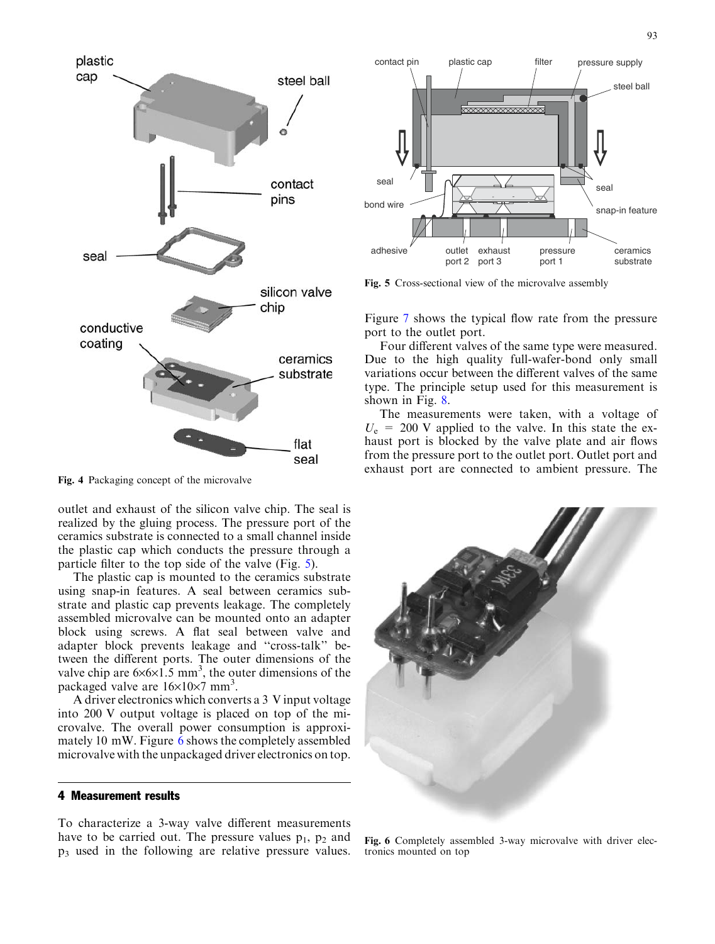

<span id="page-4-0"></span>

Fig. 4 Packaging concept of the microvalve

outlet and exhaust of the silicon valve chip. The seal is realized by the gluing process. The pressure port of the ceramics substrate is connected to a small channel inside the plastic cap which conducts the pressure through a particle filter to the top side of the valve (Fig. 5).

The plastic cap is mounted to the ceramics substrate using snap-in features. A seal between ceramics substrate and plastic cap prevents leakage. The completely assembled microvalve can be mounted onto an adapter block using screws. A flat seal between valve and adapter block prevents leakage and ''cross-talk'' between the different ports. The outer dimensions of the valve chip are  $6 \times 6 \times 1.5$  mm<sup>3</sup>, the outer dimensions of the packaged valve are  $16\times10\times7$  mm<sup>3</sup>.

A driver electronics which converts a 3 V input voltage into 200 V output voltage is placed on top of the microvalve. The overall power consumption is approximately 10 mW. Figure 6 shows the completely assembled microvalve with the unpackaged driver electronics on top.

#### 4 Measurement results

To characterize a 3-way valve different measurements have to be carried out. The pressure values  $p_1$ ,  $p_2$  and p3 used in the following are relative pressure values.



Fig. 5 Cross-sectional view of the microvalve assembly

Figure 7 [shows the typical flow rate from the pressure](#page-5-0) [port to the outlet port.](#page-5-0)

Four different valves of the same type were measured. Due to the high quality full-wafer-bond only small variations occur between the different valves of the same type. The principle setup used for this measurement is shown in Fig. [8.](#page-5-0)

The measurements were taken, with a voltage of  $U_e$  = 200 V applied to the valve. In this state the exhaust port is blocked by the valve plate and air flows from the pressure port to the outlet port. Outlet port and exhaust port are connected to ambient pressure. The



Fig. 6 Completely assembled 3-way microvalve with driver electronics mounted on top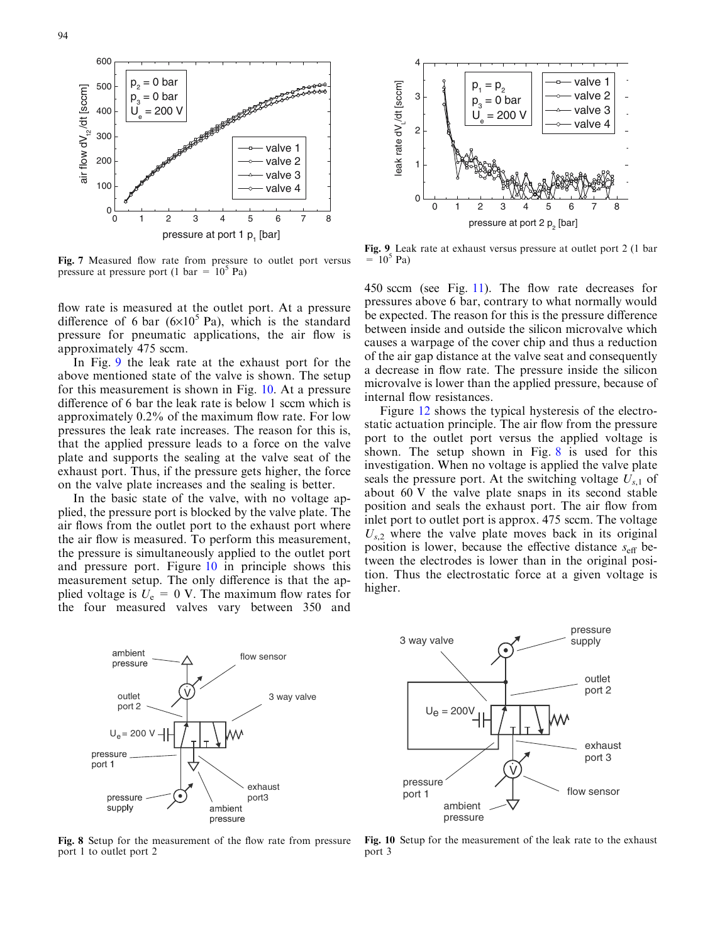<span id="page-5-0"></span>

Fig. 7 Measured flow rate from pressure to outlet port versus pressure at pressure port (1 bar =  $10^5$  Pa)

flow rate is measured at the outlet port. At a pressure difference of 6 bar  $(6\times10^5 \text{ Pa})$ , which is the standard pressure for pneumatic applications, the air flow is approximately 475 sccm.

In Fig. 9 the leak rate at the exhaust port for the above mentioned state of the valve is shown. The setup for this measurement is shown in Fig. 10. At a pressure difference of 6 bar the leak rate is below 1 sccm which is approximately 0.2% of the maximum flow rate. For low pressures the leak rate increases. The reason for this is, that the applied pressure leads to a force on the valve plate and supports the sealing at the valve seat of the exhaust port. Thus, if the pressure gets higher, the force on the valve plate increases and the sealing is better.

In the basic state of the valve, with no voltage applied, the pressure port is blocked by the valve plate. The air flows from the outlet port to the exhaust port where the air flow is measured. To perform this measurement, the pressure is simultaneously applied to the outlet port and pressure port. Figure 10 in principle shows this measurement setup. The only difference is that the applied voltage is  $U_e = 0$  V. The maximum flow rates for the four measured valves vary between 350 and



Fig. 9 Leak rate at exhaust versus pressure at outlet port 2 (1 bar  $= 10^5$  Pa)

450 sccm (see Fig. [11\). The flow rate decreases for](#page-6-0) [pressures above 6 bar, contrary to what normally would](#page-6-0) [be expected. The reason for this is the pressure difference](#page-6-0) [between inside and outside the silicon microvalve which](#page-6-0) [causes a warpage of the cover chip and thus a reduction](#page-6-0) [of the air gap distance at the valve seat and consequently](#page-6-0) [a decrease in flow rate. The pressure inside the silicon](#page-6-0) [microvalve is lower than the applied pressure, because of](#page-6-0) [internal flow resistances.](#page-6-0)

Figure 12 [shows the typical hysteresis of the electro](#page-6-0)[static actuation principle. The air flow from the pressure](#page-6-0) [port to the outlet port versus the applied voltage is](#page-6-0) shown. The setup shown in Fig. 8 is used for this investigation. When no voltage is applied the valve plate seals the pressure port. At the switching voltage  $U_{s,1}$  of about 60 V the valve plate snaps in its second stable position and seals the exhaust port. The air flow from inlet port to outlet port is approx. 475 sccm. The voltage  $U_{s,2}$  where the valve plate moves back in its original position is lower, because the effective distance  $s_{\text{eff}}$  between the electrodes is lower than in the original position. Thus the electrostatic force at a given voltage is higher.



Fig. 8 Setup for the measurement of the flow rate from pressure port 1 to outlet port 2



Fig. 10 Setup for the measurement of the leak rate to the exhaust port 3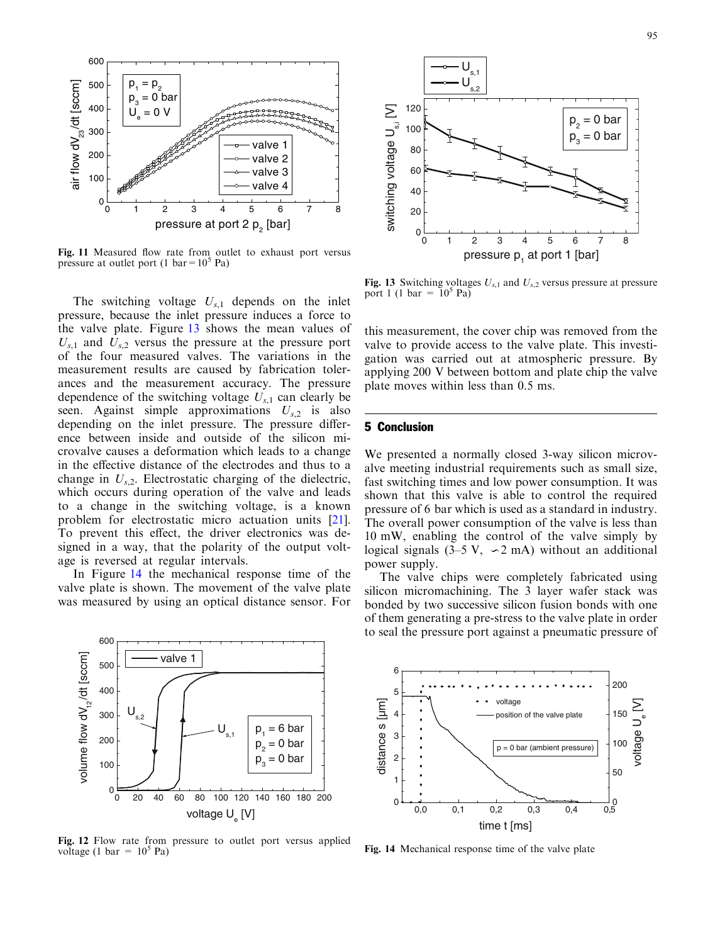<span id="page-6-0"></span>

Fig. 11 Measured flow rate from outlet to exhaust port versus pressure at outlet port (1 bar =  $10^5$  Pa)

The switching voltage  $U_{s,1}$  depends on the inlet pressure, because the inlet pressure induces a force to the valve plate. Figure 13 shows the mean values of  $U_{s,1}$  and  $U_{s,2}$  versus the pressure at the pressure port of the four measured valves. The variations in the measurement results are caused by fabrication tolerances and the measurement accuracy. The pressure dependence of the switching voltage  $U_{s,1}$  can clearly be seen. Against simple approximations  $U_{s,2}$  is also depending on the inlet pressure. The pressure difference between inside and outside of the silicon microvalve causes a deformation which leads to a change in the effective distance of the electrodes and thus to a change in  $U_{s,2}$ . Electrostatic charging of the dielectric, which occurs during operation of the valve and leads to a change in the switching voltage, is a known [problem for electrostatic micro actuation units \[21](#page-7-0)]. To prevent this effect, the driver electronics was designed in a way, that the polarity of the output voltage is reversed at regular intervals.

In Figure 14 the mechanical response time of the valve plate is shown. The movement of the valve plate was measured by using an optical distance sensor. For



Fig. 12 Flow rate from pressure to outlet port versus applied voltage (1 bar =  $10^5$  Pa)



Fig. 13 Switching voltages  $U_{s,1}$  and  $U_{s,2}$  versus pressure at pressure port 1 (1 bar =  $10^5$  Pa)

this measurement, the cover chip was removed from the valve to provide access to the valve plate. This investigation was carried out at atmospheric pressure. By applying 200 V between bottom and plate chip the valve plate moves within less than 0.5 ms.

#### 5 Conclusion

We presented a normally closed 3-way silicon microvalve meeting industrial requirements such as small size, fast switching times and low power consumption. It was shown that this valve is able to control the required pressure of 6 bar which is used as a standard in industry. The overall power consumption of the valve is less than 10 mW, enabling the control of the valve simply by logical signals  $(3-5 \text{ V}, \neg 2 \text{ mA})$  without an additional power supply.

The valve chips were completely fabricated using silicon micromachining. The 3 layer wafer stack was bonded by two successive silicon fusion bonds with one of them generating a pre-stress to the valve plate in order to seal the pressure port against a pneumatic pressure of



Fig. 14 Mechanical response time of the valve plate